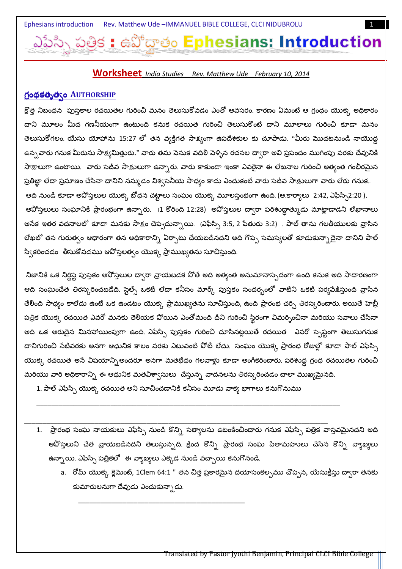వోదాతం Ephesians: Introduction

#### **Worksheet** India Studies Rev. Matthew Ude February 10, 2014

### <u> గ్రంథకత్వత్వం AUTHORSHIP</u>

క్రొత్త నిబంధన `పుస్తకాల రచయితల గురించి మనం తెలుసుకోవడం ఎంతో అవసరం. కారణం ఏమంటే ఆ గ్రంధం యొక్క అధికారం దాని మూలం మీద గణనీయంగా ఉంటుంది కనుక రచయిత గురించి తెలుసుకొంటే దాని మూలాలు గురించి కూడా మనం తెలుసుకోగలం. యేసు యోహాను 15:27 లో తన వ్యక్తిగత సాక్ష్యంగా ఉపదేశకుల కు చూపాడు. ''మీరు మొదటనుండి నాయొద్ద ఉన్న*వా*రు గనుక మీరును సాక్ష్యమిత్తురు.'' వారు తమ పెనుక వదిలి పెళ్ళిన రచనల ద్వారా అవి ప్రపంచం ముగింపు వరకు దేవునికి సాక్షాలుగా ఉంటాయి. వారు సజీవ సాక్షులుగా ఉన్నారు. వారు కాకుండా ఇంకా ఎవరైనా ఈ లేఖనాల గురించి అత్యంత గంభీరమైన ప్రతిజ్ఞా లేదా ప్రమాణం చేసినా దానిని నమ్మడం విశ్వసనీయ సాధ్యం కాదు ఎందుకంటే వారు సజీవ సాక్షులుగా వారు లేరు గనుక ఆది నుండి కూడా అవోస్తలుల యొక్క బోధన చట్టాలు సంఘం యొక్క మూలస్తంభంగా ఉంది. (అ.కార్యాలు 2:42, ఎఫేస్సి2:20 ). అపోస్తలులు సంఘానికి ప్రారంభంగా ఉన్నారు. (1 కొరింది 12:28) అపోస్తలుల దా్ారా పరిశుద్ధాత్ముడు మాట్లాడాడని లేఖానాలు అసేక ఇతర వచనాలలో కూడా మనకు సాక్షం చెప్పచున్నాయి. (ఎఫేస్పి 3:5, 2 పేతురు 3:2) . పాల్ తాను గలతీయులకు వ్రాసిన లేఖలో తన గురుత్వం ఆధారంగా తన అధికారాన్ని ఏర్పాటు చేయబడినదని అది గొప్ప సమస్యలతో కూడుకున్నాదైనా దానిని పాల్ స్వీకరించడం తీసుకోవడము ఆవోస్తలత్వం యొక్క ప్రాముఖ్యతను సూచిస్తుంది.

నిజానికి ఒక నిర్దిష్ట పుస్తకం అవోస్తలుల ద్వారా వ్రాయబడక వోతే అది అత్యంత అనుమానాస్పదంగా ఉంది కనుక అది సాధారణంగా ఆది సంఘంచేత తిరస్కరించబడేది. స్టెల్స్ ఒకటి లేదా కనీసం మార్క్ పుస్తకం సందర్భంలో వాటిని ఒకటి పర్యవే<u>కి</u>స్తుంది వ్రాసిన తేలింది సాధ్యం కాలేదు ఉంటే ఒక ఉండటం యొక్క ప్రాముఖ్యతను సూచిస్తుంది, ఉంది ప్రారంభ చర్చి తిరస్కరించారు. అయితే హెబ్రీ పత్రిక యొక్క రచయిత ఎవరో మనకు తెలియక పోయిన ఎంతోమంది దీని గురించి స్థిరంగా విమర్శించినా మరియు సవాలు చేసినా అది ఒక అరుదైన మినహాయింపుగా ఉంది. ఎఫేస్సి పుస్తకం గురించి చూసినట్లయితే రచయిత ఎవరో స్పష్టంగా తెలుసుగనుక దానిగురించి నేటివరకు అనగా ఆధునిక కాలం వరకు ఎటువంటి వోటీ లేదు. సంఘం యొక్క ప్రారంభ రోజుల్లో కూడా పాల్ ఎఫేస్సి యొక్క రచయిత అసే విషయాన్ని అందరూ అనగా మతభేధం గలవాళ్లు కూడా అంగీకరించారు. పరిశుద్ధ గ్రంధ రచయితల గురించి మరియు వారి అధికారాన్ని ఈ ఆధునిక మతవిశ్వాసులు చేస్తున్న వాదనలను తిరస్కరించడం చాలా ముఖ్యమైనది.

1. పాల్ ఎఫేస్సి యొక్క రచయిత అని సూచించడానికి కనీసం మూడు వాక్య భాగాలు కనుగొనుము

- 1. ప్రారంభ సంఘ నాయకులు ఎఫేస్సి నుండి కొన్ని సత్యాలను ఉటంకించించారు గనుక ఎఫేస్సి పత్రిక వాస్తవమైనదని అది అవోస్తలుని చేత వ్రాయబడినదని తెలుస్తున్నది. క్రింద కొన్ని ప్రారంభ సంఘ పితామహులు చేసిన కొన్ని వ్యాఖ్యలు ఉన్నాయి. ఎఫేస్సి పత్రికలో ఈ వ్యాఖ్యలు ఎక్కడ నుండి వచ్చాయి కనుగొనండి.
	- a. రోమ్ యొక్క క్లెమెంట్, 1Clem 64:1 " తన చిత్త ప్రకారమైన దయాసంకల్పము చొప్పన, యేసుక్రీస్తు ద్వారా తనకు కుమారులనుగా దేవుడు ఎంచుకున్నాడు.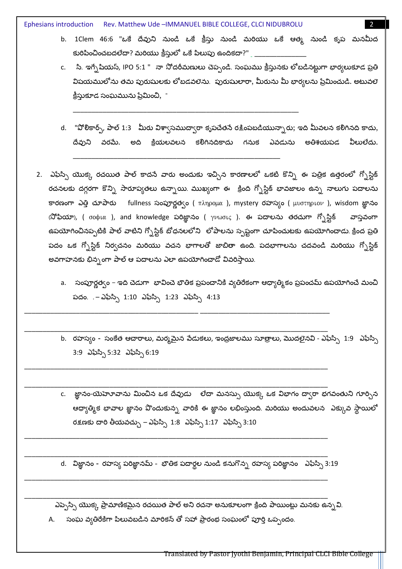Ephesians introduction Rev. Matthew Ude - IMMANUEL BIBLE COLLEGE, CLCI NIDUBROLU

- b. 1Clem 46:6 "ఒకే దేవుని నుండి ఒకే క్రీస్తు నుండి మరియు ఒకే ఆత్మ నుండి కృప మనమీద కురిపించించబదలేదా? మరియు క్రీస్తులో ఒకే పిలుపు ఉందికదా?"  $\_$
- c. సి. ఇగ్నేషియస్, IPO 5:1 " నా నోదరీమణులు చెప్పండి. సంఘము క్రీస్తునకు లోబడినట్టుగా భార్యలుకూడ ప్రతి విషయములోను తమ పురుషులకు లోబడవలెను. పురుషులారా, మీరును మీ భార్యలను ప్రేమించుడి. అటువలె క్రీస్తుకూడ సంఘమును ప్రేమించి, "
- d. "పోలికార్స్, పాల్ 1:3 మీరు విశ్వాసముద్వారా కృపచేతనే రక్షింపబడియున్నారు; ఇది మీవలన కలిగినది కాదు, దేవుని వరమే. అది క్రియలవలన కలిగినదికాదు గనుక ఎవడును అతిశయపడ వీలులేదు.
- 2. ఎఫేస్సి యొక్క రచయిత పాల్ కాదసే వారు అందుకు ఇచ్చిన కారణాలలో ఒకటి కొన్ని ఈ పత్రిక ఉత్తరంలో గ్నోస్టిక్ రచనలకు దగ్గరగా కొన్ని సారూప్యతలు ఉన్నాయి. ముఖ్యంగా ఈ క్రింది గ్నోస్టిక్ భావజాలం ఉన్న నాలుగు పదాలను కారణంగా ఎత్తి చూపారు fullness సంపూర్ణత్వం ( πληρομα ), mystery రహస్యం ( μυστηριον ), wisdom జ్ఞానం (నోఫియా), ( σοφι $\alpha$  ), and knowledge పరిజ్ఞానం ( γ $\nu$ ωσις ). ఈ పదాలను తరచుగా గ్పోస్టిక్ వాస్తవంగా ఉపయోగించినప్పటికి పాల్ వాటిని గ్నోస్టిక్ బోధనలలోని ్లోపాలను స్పష్టంగా చూపించుటకు ఉపయోగించాడు. క్రింద ప్రతి పదం ఒక గ్నోస్టిక్ నిర్వచనం మరియు వచన భాగాలతో జాబితా ఉంది. పదభాగాలను చదవండి మరియు గ్నోస్టిక్ అవగాహనకు భిన్నంగా పాల్ ఆ పదాలను ఎలా ఉపయోగించాడో వివరిస్తాయి.
	- a. సంపూర్ణత్వం ఇది చెడుగా భావించె భౌతిక ప్రపంచానికి వ్యతిరేకంగా ఆధ్యాత్మికం ప్రపంచమ్ ఉపయోగించే మంచి పదం. .– ఎఫేస్సీ 1:10 ఎఫేస్సీ 1:23 ఎఫేస్సీ 4:13
	- b. రహస్యం సంకేత ఆచారాలు, మర్మమైన పేడుకలు, ఇంద్రజాలము సూత్రాలు, మొదలైనవి ఎఫేస్సి 1:9 ఎఫేస్సి 3:9 ఎఫేస్సి 5:32 ఎఫేస్సి 6:19
	- c. జ్ఞానం-యెహెూవాను మించిన ఒక దేవుడు లేదా మనస్సు యొక్క ఒక విభాగం ద్వారా భగవంతుని గూర్చిన ఆధ్యాత్మిక భావాల జ్ఞానం వొందుకున్న వారికి ఈ జ్ఞానం లభింస్తుంది. మరియు అందువలన ్ఎక్కువ స్థాయిలో రక్షణకు దారి తీయవచ్చు – ఎఫేస్పి 1:8 ఎఫేస్పి 1:17 ఎఫేస్పి 3:10

d. విజ్ఞానం - రహస్య పరిజ్ఞానమ్ - భౌతిక పదార్థల నుండి కనుగొన్న రహస్య పరిజ్ఞానం ఎఫేస్సి 3:19

ఎప్పెస్సి యొక్క ప్రామాణికమైన రచయిత పాల్ అని రచనా అనుకూలంగా క్రింది పాయింట్లు మనకు ఉన్నవి.

A. సంఘ వ్వతిరేకిగా పిలువబడిన మారికన్ తో సహా ప్రారంభ సంఘంలో పూర్తి ఒప్పందం.

Transiated by Pastor Jyothi Benjamin, Principal CLCI Bible College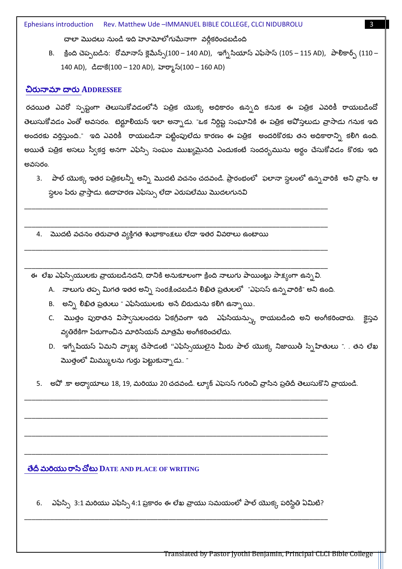Ephesians introduction Rev. Matthew Ude - IMMANUEL BIBLE COLLEGE, CLCI NIDUBROLU

చాలా మొదలు నుండి ఇది హూమోలో గుమేనాగా వర్గీకరించబడింది

B. క్రింది చెప్పబడిన: రోమానాస్ క్లెమేన్స్(100 – 140 AD), ఇగ్నేసియాస్ ఎఫేసాస్ (105 – 115 AD), పాలికార్స్ (110 – 140 AD), డిడాకే(100 – 120 AD), హెర్మాస్(100 – 160 AD)

#### చిరునామా దారు ADDRESSEE

రచయిత ఎవరో స్పష్టంగా తెలుసుకోవడంలోనే పత్రిక యొక్క అధికారం ఉన్నది కనుక ఈ పత్రిక ఎవరికీ రాయబడిందో తెలుసుకోవడం ఎంతో అవసరం. టెర్టూలియస్ ఇలా అన్సాడు. "ఒక నిర్దిష్ట సంఘానికి ఈ పత్రిక అవోస్తలుడు వ్రాసాడు గనుక ఇది అందరకు వర్తిస్తుంది.." ఇది ఎవరికీ రాయబడినా పట్టింపులేదు కారణం ఈ పత్రిక అందరికొరకు తన అధికారాన్సి కలిగి ఉంది. అయితే పత్రిక అసలు స్వీకర్త అనగా ఎఫేస్సి సంఘం ముఖ్యమైనది ఎందుకంటే సందర్భమును అర్థం చేసుకోవడం కొరకు ఇది అవసరం.

- 3. పాల్ యొక్క ఇతర పత్రికలన్నీ అన్ని మొదటి వచనం చదవండి. ప్రారంభంలో ఫలానా స్థలంలో ఉన్న*వా*రికి అని వ్రాసి. ఆ స్థలం పేరు వ్రాస్తాడు. ఉదాహరణ ఎఫేస్సు లేదా ఎరుషలేము మొదలగునవి
- 4. మొదటి వచనం తరువాత వ్యక్తిగత శుభాకాంక్షలు లేదా ఇతర వివరాలు ఉంటాయి

ఈ లేఖ ఎఫేస్సియులకు వ్రాయబడినదని, దానికి అనుకూలంగా క్రింది నాలుగు పాయింట్లు సాక్ష్యంగా ఉన్న వి.

- A. నాలుగు తప్ప మిగత ఇతర అన్ని సంరక్షించబడిన లిఖిత ప్రతులలో "ఎఫెసస్ ఉన్నవారికి" అని ఉంది.
- B. అన్ని లిఖిత ప్రతులు " ఎఫేసియులకు అనే బిరుదును కలిగి ఉన్నాయి..
- C. మొత్తం పురాతన విస్వాసులందరు ఏకగ్రీవంగా ఇది ఎఫేసియన్స్కు రాయబడింది అని అంగీకరించారు. క్టైస్తవ వ్యతిరేకిగా పేరుగాంచిన మారిసియన్ మాత్రమే అంగీకరించలేదు.
- D. ఇగ్సేషియస్ ఏమని వ్యాఖ్య చేసాడంటే ''ఎఫేస్సియులైన మీరు పాల్ యొక్క నిజాయితీ స్పేహితులు ". . తన లేఖ మొత్తంలో మిమ్ములను గుర్తు పెట్టుకున్నాడు.. "
- 5. అవో .కా అధ్యాయాలు 18, 19, మరియు 20 చదవండి. ల్యూక్ ఎఫెసస్ గురించి వ్రాసిన ప్రతిదీ తెలుసుకొని వ్రాయండి.

## తేదీ మరియు రాసే చోటు DATE AND PLACE OF WRITING

6. ఎఫేస్పి 3:1 మరియు ఎఫేస్పి 4:1 ప్రకారం ఈ లేఖ వ్రాయు సమయంలో పాల్ యొక్క పరిస్థితి ఏమిటి?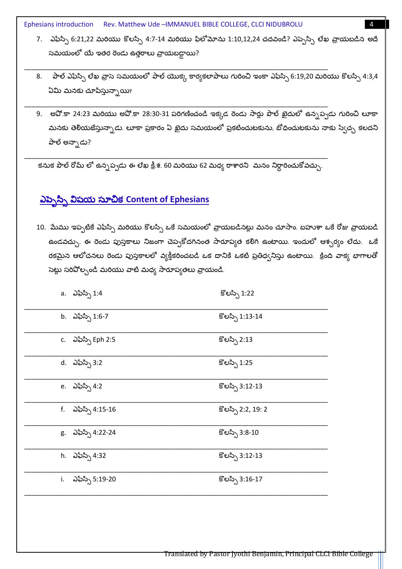Ephesians introduction Rev. Matthew Ude -IMMANUEL BIBLE COLLEGE, CLCI NIDUBROLU

- 7. ఎఫేస్సి 6:21,22 మరియు కొలస్సి 4:7-14 మరియు ఫిలోమోను 1:10,12,24 చదవండి? ఎప్పెస్సి లేఖ వ్రాయబడిన అదే సమయంలో యే ఇతర రెండు ఉత్తరాలు వ్రాయబడ్డాయి?
- పాల్ ఎఫేస్సి లేఖ వ్రాసె సమయంలో పాల్ యొక్క కార్యకలాపాలు గురించి ఇంకా ఎఫేస్సి 6:19,20 మరియు కొలస్సి 4:3,4 8. ఏమి మనకు చూపిస్తున్నాయి?
- 9. అవో.కా 24:23 మరియు అవో.కా 28:30-31 పరిగణించండి ఇక్కడ రెండు సార్లు పౌల్ ఖైదులో ఉన్నప్పడు గురించి లూకా మనకు తెలియజేస్తున్నాడు. లూకా ప్రకారం ఏ ఖైదు సమయంలో ప్రకటించుటకును, బోధించుటకును నాకు స్వేచ్ఛ కలదని పాల్ అన్నాడు?

కనుక పౌల్ రోమ్ లో ఉన్నప్పడు ఈ లేఖ క్రీ.శ. 60 మరియు 62 మధ్య రాశారని మనం నిర్ధారించుకోవచ్చు.

# <u>ఎప్పెస్సి విషయ సూచిక Content of Ephesians</u>

10. మేము ఇప్పటికే ఎఫ్స్గి మరియు కొలస్సి ఒకే సమయంలో వ్రాయబడినట్లు మనం చూసాం. బహుశా ఒకే రోజు వ్రాయబడి ఉండవచ్చు. ఈ రెండు పుస్తకాలు నిజంగా చెప్పకోదగినంత సారూప్యత కలిగి ఉంటాయి. ఇందులో ఆశ్చర్యం లేదు. ఒకే రకమైన ఆలోచనలు రెండు పుస్తకాలలో వ్యక్తీకరించబడి ఒక దానికి ఒకటి ప్రతిధ్వనిస్తు ఉంటాయి. క్రింది వాక్య భాగాలతో సెట్లు సరిపోల్చండి మరియు వాటి మధ్య సారూప్యతలు వ్రాయండి.

|    | a. ఎఫేస్సి 1:4     | కొలస్సి 1:22       |
|----|--------------------|--------------------|
|    | b. ఎఫేస్సి 1:6-7   | కొలస్సి 1:13-14    |
|    | c. ఎఫేస్సి Eph 2:5 | కొలస్సి 2:13       |
|    | d. ఎఫేస్సి 3:2     | కొలస్సి 1:25       |
|    | e. ఎఫేస్సి 4:2     | కొలస్సి 3:12-13    |
|    | f. ఎఫేస్సి 4:15-16 | కొలస్సి 2:2, 19: 2 |
|    | g. ఎఫేస్సి 4:22-24 | కొలస్సి 3:8-10     |
|    | h. ఎఫేస్సి 4:32    | కొలస్సి 3:12-13    |
| i. | ఎఫేస్సి 5:19-20    | కొలస్సి 3:16-17    |
|    |                    |                    |